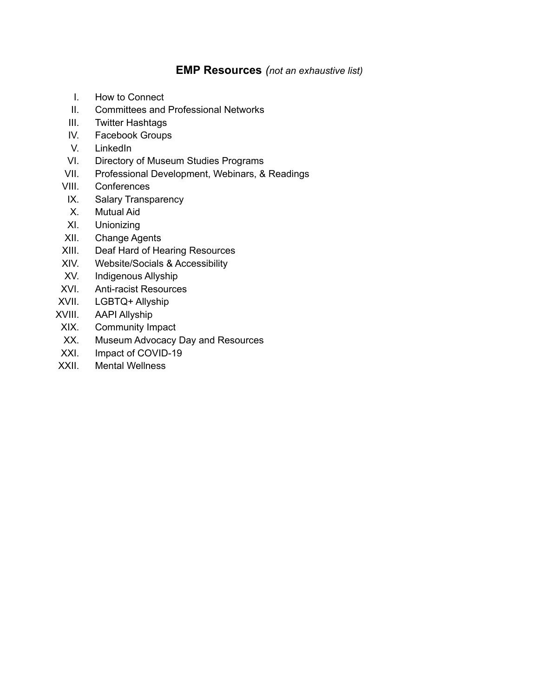# **EMP Resources** *(not an exhaustive list)*

- I. How to Connect
- II. Committees and Professional Networks
- III. Twitter Hashtags
- IV. Facebook Groups
- V. LinkedIn
- VI. Directory of Museum Studies Programs
- VII. Professional Development, Webinars, & Readings
- VIII. Conferences
- IX. Salary Transparency
- X. Mutual Aid
- XI. Unionizing
- XII. Change Agents
- XIII. Deaf Hard of Hearing Resources
- XIV. Website/Socials & Accessibility
- XV. Indigenous Allyship
- XVI. Anti-racist Resources
- XVII. LGBTQ+ Allyship
- XVIII. AAPI Allyship
- XIX. Community Impact
- XX. Museum Advocacy Day and Resources
- XXI. Impact of COVID-19
- XXII. Mental Wellness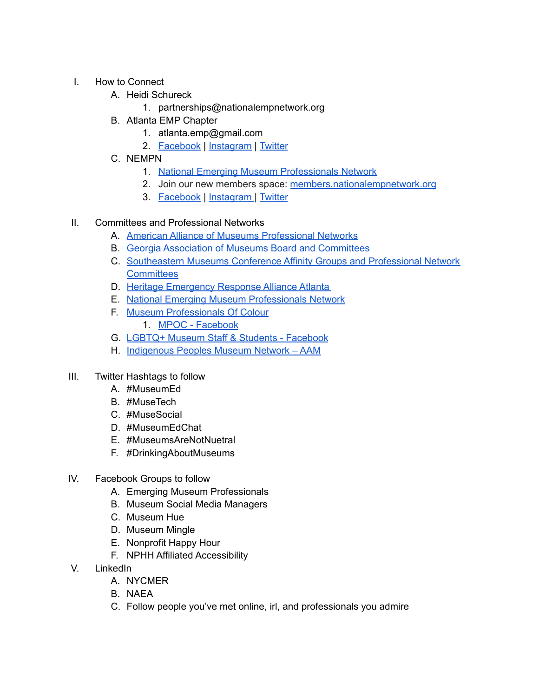- I. How to Connect
	- A. Heidi Schureck
		- 1. partnerships@nationalempnetwork.org
	- B. Atlanta EMP Chapter
		- 1. atlanta.emp@gmail.com
		- 2. [Facebook](https://www.facebook.com/groups/1520745357991214) | [Instagram](https://www.instagram.com/atl.emp/) | [Twitter](https://twitter.com/TheAtlEmps)
	- C. NEMPN
		- 1. National Emerging Museum [Professionals](https://nationalempnetwork.org/) Network
		- 2. Join our new members space: [members.nationalempnetwork.org](http://members.nationalempnetwork.org/)
		- 3. [Facebook](https://www.facebook.com/NEMPNetwork) | [Instagram](http://instagram.com/nempnetwork) | [Twitter](http://twitter.com/nempnetwork)
- II. Committees and Professional Networks
	- A. American Alliance of Museums [Professional](https://www.aam-us.org/programs/about-aam/professional-networks/) Networks
	- B. Georgia Association of Museums Board and [Committees](http://www.gamg.org/committees.html)
	- C. [Southeastern](https://www.semcdirect.net/affinity) Museums Conference Affinity Groups and Professional Network **[Committees](https://www.semcdirect.net/affinity)**
	- D. Heritage [Emergency](https://heraatlanta.wordpress.com/) Response Alliance Atlanta
	- E. National Emerging Museum [Professionals](https://nationalempnetwork.org/) Network
	- F. Museum [Professionals](http://www.mussa.ca/about-mpoc.html) Of Colour
		- 1. MPOC [Facebook](https://www.facebook.com/mpoc.uoft/)
	- G. LGBTQ+ Museum Staff & Students [Facebook](https://www.facebook.com/groups/414765469677691)
	- H. [Indigenous](https://www.aam-us.org/professional-networks/indigenous-peoples-museum-network/) Peoples Museum Network AAM
- III. Twitter Hashtags to follow
	- A. #MuseumEd
	- B. #MuseTech
	- C. #MuseSocial
	- D. #MuseumEdChat
	- E. #MuseumsAreNotNuetral
	- F. #DrinkingAboutMuseums
- IV. Facebook Groups to follow
	- A. Emerging Museum Professionals
	- B. Museum Social Media Managers
	- C. Museum Hue
	- D. Museum Mingle
	- E. Nonprofit Happy Hour
	- F. NPHH Affiliated Accessibility
- V. LinkedIn
	- A. NYCMER
	- B. NAEA
	- C. Follow people you've met online, irl, and professionals you admire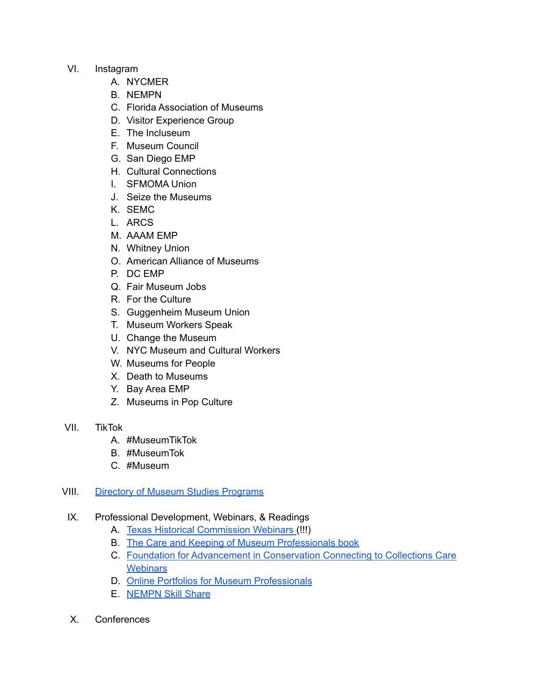#### VI. Instagram

- A. NYCMER
- B. NEMPN
- C. Florida Association of Museums
- D. Visitor Experience Group
- E. The Incluseum
- F. Museum Council
- G. San Diego EMP
- H. Cultural Connections
- I. SFMOMA Union
- J. Seize the Museums
- K. SEMC
- L. ARCS
- M. AAAM EMP
- N. Whitney Union
- O. American Alliance of Museums
- P. DC EMP
- Q. Fair Museum Jobs
- R. For the Culture
- S. Guggenheim Museum Union
- T. Museum Workers Speak
- U. Change the Museum
- V. NYC Museum and Cultural Workers
- W. Museums for People
- X. Death to Museums
- Y. Bay Area EMP
- Z. Museums in Pop Culture

# VII. TikTok

- A. #MuseumTikTok
- B. #MuseumTok
- C. #Museum

# VIII. Directory of Museum Studies [Programs](https://nationalempnetwork.org/directory-museum-studies-programs-us/)

# IX. Professional Development, Webinars, & Readings

- A. Texas Historical [Commission](https://www.thc.texas.gov/preserve/projects-and-programs/museum-services/webinars) Webinars (!!!)
- B. The Care and Keeping of Museum [Professionals](https://www.amazon.com/Care-Keeping-Museum-Professionals/dp/1794487018) book
- C. Foundation for [Advancement](https://www.connectingtocollections.org/archives/) in Conservation Connecting to Collections Care **[Webinars](https://www.connectingtocollections.org/archives/)**
- D. Online Portfolios for Museum [Professionals](https://youtu.be/k3sMz-m-Yl4)
- E. [NEMPN](https://www.youtube.com/channel/UCLLLQZAwahYM4ph9_4JOlhw) Skill Share
- X. Conferences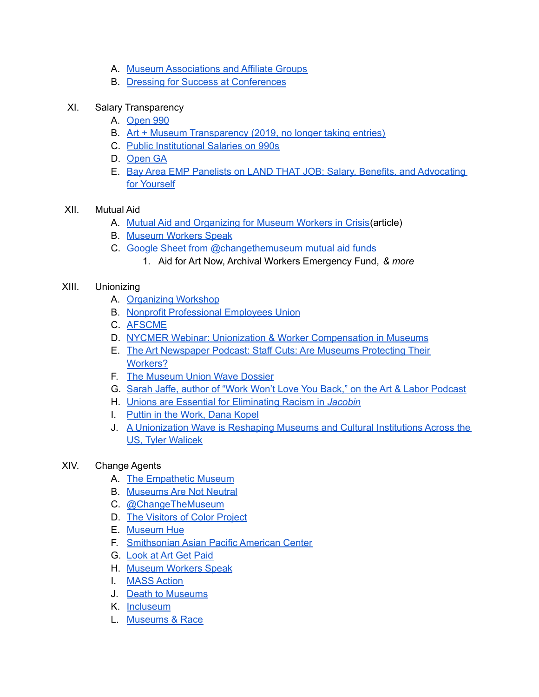- A. Museum [Associations](https://nationalempnetwork.org/museum-association-and-affiliate-groups/) and Affiliate Groups
- B. Dressing for Success at [Conferences](https://nationalempnetwork.org/2012/04/24/professional-development-dressing-for-success-at-conferences/)
- XI. Salary Transparency
	- A. [Open](https://www.open990.org/org/) 990
	- B. Art + Museum [Transparency](https://docs.google.com/spreadsheets/d/14_cn3afoas7NhKvHWaFKqQGkaZS5rvL6DFxzGqXQa6o/edit#gid=0) (2019, no longer taking entries)
	- C. Public [Institutional](https://projects.propublica.org/nonprofits) Salaries on 990s
	- D. [Open](http://www.open.georgia.gov/) GA
	- E. Bay Area EMP Panelists on LAND THAT JOB: Salary, Benefits, and [Advocating](https://www.facebook.com/BayAreaEMP/videos/vb.128533890528616/187257729871628/?type=2&theater) for [Yourself](https://www.facebook.com/BayAreaEMP/videos/vb.128533890528616/187257729871628/?type=2&theater)

#### XII. Mutual Aid

- A. Mutual Aid and [Organizing](https://medium.com/viewfinder-reflecting-on-museum-education/mutual-aid-and-organizing-for-museum-workers-in-crisis-c91162eee6c5) for Museum Workers in Crisis(article)
- B. [Museum](https://linktr.ee/MuseumWorkers) Workers Speak
- C. Google Sheet from [@changethemuseum](https://docs.google.com/spreadsheets/d/1AlrfTvsOTJgduGwoXk38Se5hW81yO_HsrFbDQORaMqM/edit#gid=0) mutual aid funds
	- 1. Aid for Art Now, Archival Workers Emergency Fund, *& more*

#### XIII. Unionizing

- A. [Organizing](https://docs.google.com/presentation/d/17FroC14NUe0wOA85KU-bFpfqcx8x7lPTkwsCUQjwOY8/edit#slide=id.p) Workshop
- B. Nonprofit [Professional](https://npeu.org/about-1) Employees Union
- C. [AFSCME](https://afscme.org/?gclid=CjwKCAiA3L6PBhBvEiwAINlJ9ChtWZUFe3ZbcKU_MBGky8ld8GUjSVEIWMbd5WJSsy5XLKbEXT4sNBoCKJQQAvD_BwE)
- D. NYCMER Webinar: Unionization & Worker [Compensation](https://www.youtube.com/watch?v=JE_8cdi1UyI) in Museums
- E. The Art [Newspaper](https://www.theartnewspaper.com/2020/07/17/staff-cuts-are-museums-protecting-their-workers) Podcast: Staff Cuts: Are Museums Protecting Their [Workers?](https://www.theartnewspaper.com/2020/07/17/staff-cuts-are-museums-protecting-their-workers)
- F. The [Museum](https://www.artpapers.org/dossiers/the-museum-union-wave-dossier/) Union Wave Dossier
- G. Sarah Jaffe, author of "Work Won't Love You Back," on the Art & Labor [Podcast](http://www.artandlaborpodcast.com/podcast/episode-110-work-wont-love-you-back-w-sarah-jaffe/)
- H. Unions are Essential for [Eliminating](https://www.jacobinmag.com/2020/07/multiracial-solidarity-unions) Racism in *Jacobin*
- I. Puttin in the [Work,](https://www.textezurkunst.de/articles/dana-kopel-putting-work/) Dana Kopel
- J. A [Unionization](https://truthout.org/articles/a-unionization-wave-is-reshaping-museums-and-cultural-institutions-across-the-us/) Wave is Reshaping Museums and Cultural Institutions Across the US, Tyler [Walicek](https://truthout.org/articles/a-unionization-wave-is-reshaping-museums-and-cultural-institutions-across-the-us/)

# XIV. Change Agents

- A. The [Empathetic](http://empatheticmuseum.weebly.com) Museum
- B. [Museums](https://www.museumsarenotneutral.com) Are Not Neutral
- C. [@ChangeTheMuseum](https://www.instagram.com/changethemuseum/?hl=en)
- D. The [Visitors](https://www.facebook.com/visitorsofcolor/community/?ref=page_internal) of Color Project
- E. [Museum](https://www.museumhue.com) Hue
- F. [Smithsonian](https://smithsonianapa.org) Asian Pacific American Center
- G. [Look](http://www.lookatartgetpaid.org/home) at Art Get Paid
- H. [Museum](https://sites.google.com/view/museumworkersspeak/) Workers Speak
- I. [MASS](https://www.museumaction.org) Action
- J. Death to [Museums](https://deathtomuseums.com)
- K. [Incluseum](https://incluseum.com)
- L. [Museums](https://museumsandrace.org) & Race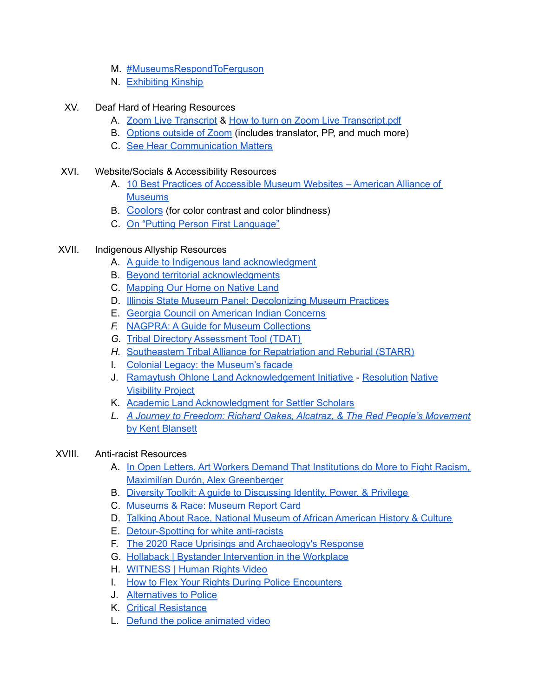- M. [#MuseumsRespondToFerguson](https://adriannerussell.wordpress.com/museumsrespondtofergusonarchive/)
- N. [Exhibiting](https://www.exhibitingkinshippodcast.com) Kinship
- XV. Deaf Hard of Hearing Resources
	- A. Zoom Live [Transcript](https://youtu.be/dVza3NKZ7H4) & How to turn on Zoom Live [Transcript.pdf](https://drive.google.com/file/d/1RDXdysSozX8e54lxQIPDp7gbrbjFhxqh/view)
	- B. [Options](https://docs.google.com/spreadsheets/d/12aoH33ODnWJ-6F6dxTbH4cs_TLSABa5D_Rc2wKyPnDM/edit#gid=0) outside of Zoom (includes translator, PP, and much more)
	- C. See Hear [Communication](https://tinachildressaud.com/) Matters

#### XVI. Website/Socials & Accessibility Resources

- A. 10 Best Practices of [Accessible](https://www.aam-us.org/2021/01/07/10-best-practices-of-accessible-museum-websites/?utm_source=American+Alliance+of+Museums&utm_campaign=54546d08f7-FieldNotes_2021_Jan11&utm_medium=email&utm_term=0_f06e575db6-54546d08f7-67598513) Museum Websites American Alliance of **[Museums](https://www.aam-us.org/2021/01/07/10-best-practices-of-accessible-museum-websites/?utm_source=American+Alliance+of+Museums&utm_campaign=54546d08f7-FieldNotes_2021_Jan11&utm_medium=email&utm_term=0_f06e575db6-54546d08f7-67598513)**
- B. [Coolors](https://coolors.co/) (for color contrast and color blindness)
- C. On "Putting Person First [Language"](https://radicalcopyeditor.com/2017/07/03/person-centered-language/)

# XVII. Indigenous Allyship Resources

- A. A guide to Indigenous land [acknowledgment](https://nativegov.org/a-guide-to-indigenous-land-acknowledgment/)
- B. Beyond territorial [acknowledgments](https://apihtawikosisan.com/2016/09/beyond-territorial-acknowledgments/)
- C. [Mapping](https://native-land.ca) Our Home on Native Land
- D. Illinois State Museum Panel: [Decolonizing](https://www.youtube.com/watch?v=evGyuJqvK8A) Museum Practices
- E. Georgia Council on American Indian [Concerns](https://georgiaindiancouncil.com)
- *F.* NAGPRA: A Guide for Museum [Collections](https://choctawnationofoklahoma-my.sharepoint.com/personal/dbyrd_choctawnation_com/_layouts/15/onedrive.aspx?id=%2Fpersonal%2Fdbyrd%5Fchoctawnation%5Fcom%2FDocuments%2FSEMC%20Hybrid%20%2D%20NAGPRA%20resources%2FHandout%5FNAGPRA%5FGuide%5Ffor%5FMuseum%5FCollections%5F2021%2Epdf&parent=%2Fpersonal%2Fdbyrd%5Fchoctawnation%5Fcom%2FDocuments%2FSEMC%20Hybrid%20%2D%20NAGPRA%20resources)
- *G.* Tribal Directory [Assessment](https://egis.hud.gov/TDAT/) Tool (TDAT)
- *H.* [Southeastern](https://starralliance.info/) Tribal Alliance for Repatriation and Reburial (STARR)
- I. Colonial Legacy: the [Museum's](https://artsandculture.google.com/exhibit/colonial-legacy-the-museum-s-facade/cgJC4cUKV7q4Kw) facade
- J. Ramaytush Ohlone Land [Acknowledgement](https://americanindianculturaldistrict.org/ramaytush-land-acknowledgement) Initiative [Resolution](https://sfenvironment.org/sites/default/files/policy/2021-01-coe_land_acknowledgement_resolution_approved.pdf) [Native](https://americanindianculturaldistrict.org/indigenizesf) [Visibility](https://americanindianculturaldistrict.org/indigenizesf) Project
- K. Academic Land [Acknowledgment](https://asecsgradcaucus.wordpress.com/2020/02/25/academic-land-acknowledgment-for-settler-scholars-a-guest-post-by-dr-eugenia-zuroski/) for Settler Scholars
- *L. A Journey to Freedom: Richard Oakes, Alcatraz, & The Red People's [Movement](https://www.indiebound.org/book/9780300255188)* by Kent [Blansett](https://www.indiebound.org/book/9780300255188)

# XVIII. Anti-racist Resources

- A. In Open Letters, Art Workers Demand That [Institutions](https://www.artnews.com/art-news/news/art-workers-systemic-racism-open-letters-1202691764/) do More to Fight Racism, Maximilían Durón, Alex [Greenberger](https://www.artnews.com/art-news/news/art-workers-systemic-racism-open-letters-1202691764/)
- B. Diversity Toolkit: A guide to [Discussing](https://msw.usc.edu/mswusc-blog/diversity-workshop-guide-to-discussing-identity-power-and-privilege/#intro) Identity, Power, & Privilege
- C. [Museums](https://museumsandrace2016.files.wordpress.com/2018/05/mr-rack-card_c2019-museumsandrace_v3_hires.pdf) & Race: Museum Report Card
- D. Talking About Race, National Museum of African [American](https://nmaahc.si.edu/learn/talking-about-race) History & Culture
- E. [Detour-Spotting](https://www.thc.texas.gov/public/upload/preserve/museums/files/Article%20-%20Detour%20Spotting_Olsson.pdf) for white anti-racists
- F. The 2020 Race Uprisings and [Archaeology's](http://www.succinctresearch.com/the-2020-race-uprisings-and-archaeologys-response/) Response
- G. Hollaback | Bystander [Intervention](https://www.ihollaback.org/bystander-intervention-in-the-workplace/) in the Workplace
- H. [WITNESS](https://www.witness.org) | Human Rights Video
- I. How to Flex Your Rights During Police [Encounters](https://www.flexyourrights.org)
- J. [Alternatives](https://dontcallthepolice.com/atlanta/) to Police
- K. Critical [Resistance](http://criticalresistance.org)
- L. Defund the police [animated](https://project-nia.org/news/project-nia-presents-defund-the-police) video